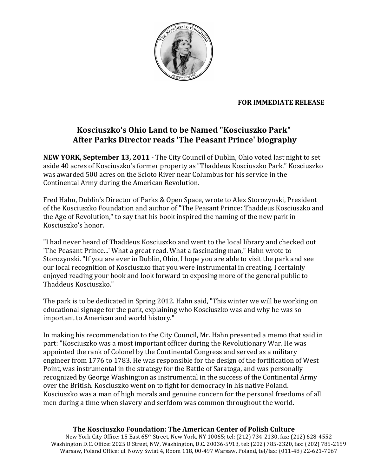

## **FOR IMMEDIATE RELEASE**

## Kosciuszko's Ohio Land to be Named "Kosciuszko Park" After Parks Director reads 'The Peasant Prince' biography

**NEW YORK, September 13, 2011** - The City Council of Dublin, Ohio voted last night to set aside 40 acres of Kosciuszko's former property as "Thaddeus Kosciuszko Park." Kosciuszko was awarded 500 acres on the Scioto River near Columbus for his service in the Continental Army during the American Revolution.

Fred Hahn, Dublin's Director of Parks & Open Space, wrote to Alex Storozynski, President of the Kosciuszko Foundation and author of "The Peasant Prince: Thaddeus Kosciuszko and the Age of Revolution," to say that his book inspired the naming of the new park in Kosciuszko's honor.

"I had never heard of Thaddeus Kosciuszko and went to the local library and checked out 'The Peasant Prince...' What a great read. What a fascinating man," Hahn wrote to Storozynski. "If you are ever in Dublin, Ohio, I hope you are able to visit the park and see our local recognition of Kosciuszko that you were instrumental in creating. I certainly enjoyed reading your book and look forward to exposing more of the general public to Thaddeus Kosciuszko."

The park is to be dedicated in Spring 2012. Hahn said, "This winter we will be working on educational signage for the park, explaining who Kosciuszko was and why he was so important to American and world history."

In making his recommendation to the City Council, Mr. Hahn presented a memo that said in part: "Kosciuszko was a most important officer during the Revolutionary War. He was appointed the rank of Colonel by the Continental Congress and served as a military engineer from 1776 to 1783. He was responsible for the design of the fortification of West Point, was instrumental in the strategy for the Battle of Saratoga, and was personally recognized by George Washington as instrumental in the success of the Continental Army over the British. Kosciuszko went on to fight for democracy in his native Poland. Kosciuszko was a man of high morals and genuine concern for the personal freedoms of all men during a time when slavery and serfdom was common throughout the world.

## The Kosciuszko Foundation: The American Center of Polish Culture

New York City Office: 15 East 65th Street, New York, NY 10065; tel: (212) 734-2130, fax: (212) 628-4552 Washington D.C. Office: 2025 O Street, NW, Washington, D.C. 20036-5913, tel: (202) 785-2320, fax: (202) 785-2159 Warsaw, Poland Office: ul. Nowy Swiat 4, Room 118, 00-497 Warsaw, Poland, tel/fax: (011-48) 22-621-7067